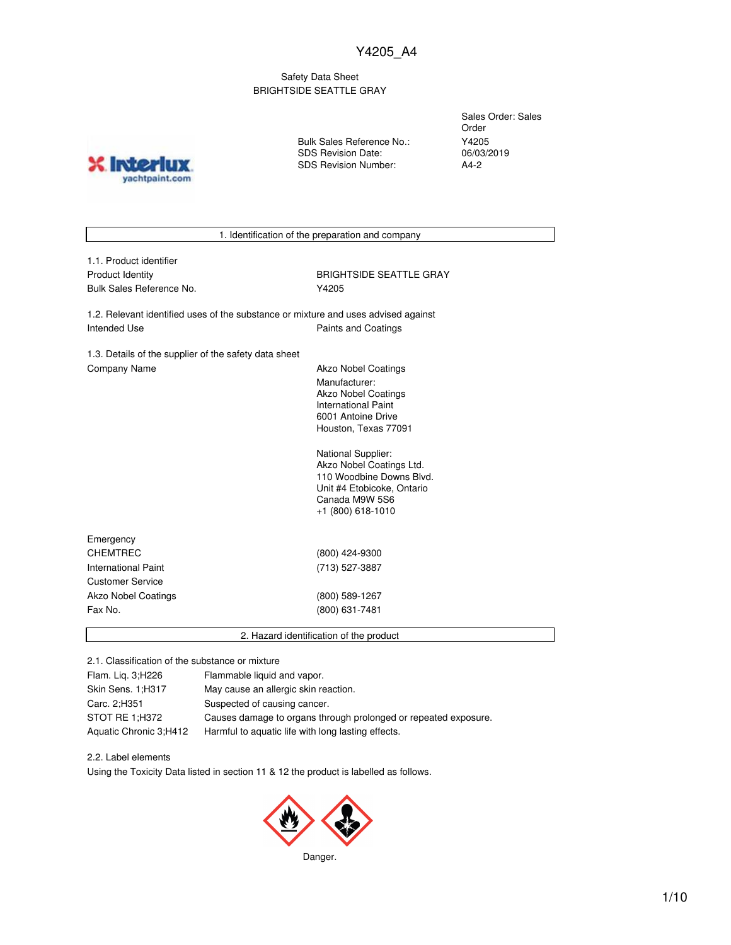## Safety Data Sheet BRIGHTSIDE SEATTLE GRAY

**X** Inter yachtpaint.com Bulk Sales Reference No.: SDS Revision Date: SDS Revision Number:

Sales Order: Sales Order Y4205 06/03/2019 A4-2

1. Identification of the preparation and company

| 1.1. Product identifier |
|-------------------------|
| Product Identity        |
| Bulk Sales Reference No |

**BRIGHTSIDE SEATTLE GRAY** Y4205

1.2. Relevant identified uses of the substance or mixture and uses advised against Intended Use **Paints and Coatings** 

1.3. Details of the supplier of the safety data sheet Company Name **Akzo Nobel Coatings** 

Manufacturer: Akzo Nobel Coatings International Paint 6001 Antoine Drive Houston, Texas 77091

National Supplier: Akzo Nobel Coatings Ltd. 110 Woodbine Downs Blvd. Unit #4 Etobicoke, Ontario Canada M9W 5S6 +1 (800) 618-1010

| Emergency                  |                |  |
|----------------------------|----------------|--|
| <b>CHEMTREC</b>            | (800) 424-9300 |  |
| International Paint        | (713) 527-3887 |  |
| <b>Customer Service</b>    |                |  |
| <b>Akzo Nobel Coatings</b> | (800) 589-1267 |  |
| Fax No.                    | (800) 631-7481 |  |
|                            |                |  |

2. Hazard identification of the product

2.1. Classification of the substance or mixture

| Flam. Lig. 3;H226      | Flammable liquid and vapor.                                     |
|------------------------|-----------------------------------------------------------------|
| Skin Sens. 1; H317     | May cause an allergic skin reaction.                            |
| Carc. 2;H351           | Suspected of causing cancer.                                    |
| STOT RE 1:H372         | Causes damage to organs through prolonged or repeated exposure. |
| Aquatic Chronic 3;H412 | Harmful to aquatic life with long lasting effects.              |

# 2.2. Label elements

Using the Toxicity Data listed in section 11 & 12 the product is labelled as follows.

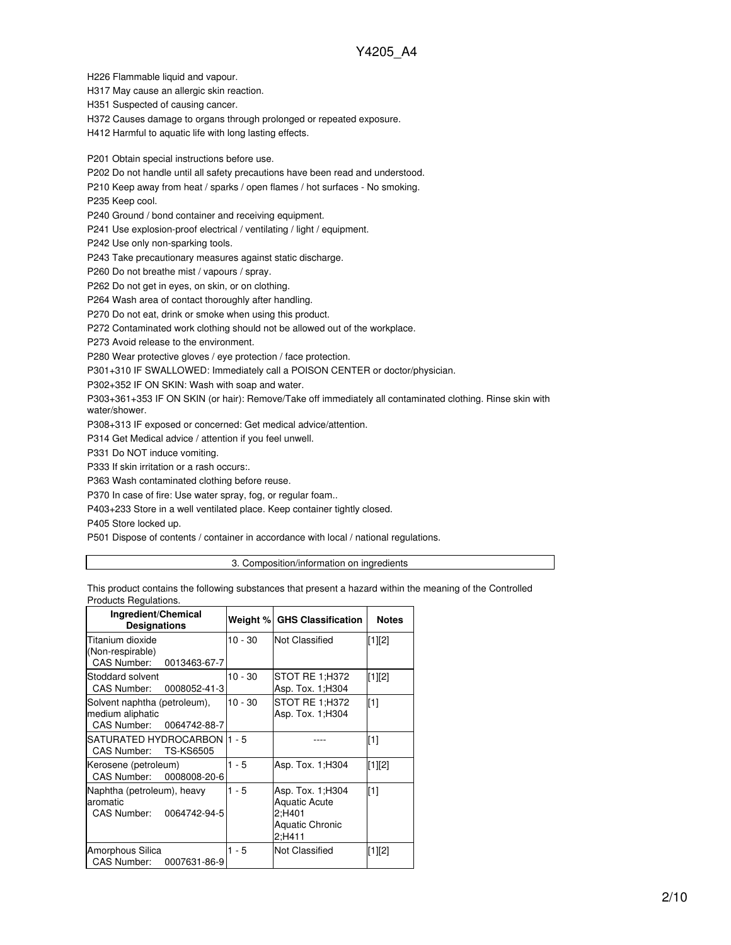H226 Flammable liquid and vapour.

H317 May cause an allergic skin reaction.

H351 Suspected of causing cancer.

H372 Causes damage to organs through prolonged or repeated exposure.

H412 Harmful to aquatic life with long lasting effects.

P201 Obtain special instructions before use.

P202 Do not handle until all safety precautions have been read and understood.

P210 Keep away from heat / sparks / open flames / hot surfaces - No smoking.

P235 Keep cool.

P240 Ground / bond container and receiving equipment.

P241 Use explosion-proof electrical / ventilating / light / equipment.

P242 Use only non-sparking tools.

P243 Take precautionary measures against static discharge.

P260 Do not breathe mist / vapours / spray.

P262 Do not get in eyes, on skin, or on clothing.

P264 Wash area of contact thoroughly after handling.

P270 Do not eat, drink or smoke when using this product.

P272 Contaminated work clothing should not be allowed out of the workplace.

P273 Avoid release to the environment.

P280 Wear protective gloves / eye protection / face protection.

P301+310 IF SWALLOWED: Immediately call a POISON CENTER or doctor/physician.

P302+352 IF ON SKIN: Wash with soap and water.

P303+361+353 IF ON SKIN (or hair): Remove/Take off immediately all contaminated clothing. Rinse skin with water/shower.

P308+313 IF exposed or concerned: Get medical advice/attention.

P314 Get Medical advice / attention if you feel unwell.

P331 Do NOT induce vomiting.

P333 If skin irritation or a rash occurs:.

P363 Wash contaminated clothing before reuse.

P370 In case of fire: Use water spray, fog, or regular foam..

P403+233 Store in a well ventilated place. Keep container tightly closed.

P405 Store locked up.

P501 Dispose of contents / container in accordance with local / national regulations.

3. Composition/information on ingredients

This product contains the following substances that present a hazard within the meaning of the Controlled Products Regulations.

| Ingredient/Chemical<br><b>Designations</b>                                   |           | Weight % GHS Classification                                                             | <b>Notes</b> |
|------------------------------------------------------------------------------|-----------|-----------------------------------------------------------------------------------------|--------------|
| Titanium dioxide<br>(Non-respirable)<br>CAS Number: 0013463-67-7             | $10 - 30$ | <b>Not Classified</b>                                                                   | [1][2]       |
| Stoddard solvent<br>CAS Number:<br>0008052-41-3                              | $10 - 30$ | STOT RE 1:H372<br>Asp. Tox. 1; H304                                                     | $[1][2]$     |
| Solvent naphtha (petroleum),<br>medium aliphatic<br>CAS Number: 0064742-88-7 | $10 - 30$ | STOT RE 1;H372<br>Asp. Tox. 1; H304                                                     | $[1]$        |
| SATURATED HYDROCARBON I1 - 5<br>CAS Number: TS-KS6505                        |           |                                                                                         | [1]          |
| Kerosene (petroleum)<br>CAS Number: 0008008-20-6                             | $1 - 5$   | Asp. Tox. 1; H304                                                                       | $[1][2]$     |
| Naphtha (petroleum), heavy<br>aromatic<br>CAS Number: 0064742-94-5           | $1 - 5$   | Asp. Tox. 1; H304<br><b>Aquatic Acute</b><br>2;H401<br><b>Aquatic Chronic</b><br>2:H411 | $[1]$        |
| Amorphous Silica<br>CAS Number:<br>0007631-86-9                              | 1 - 5     | <b>Not Classified</b>                                                                   | $[1][2]$     |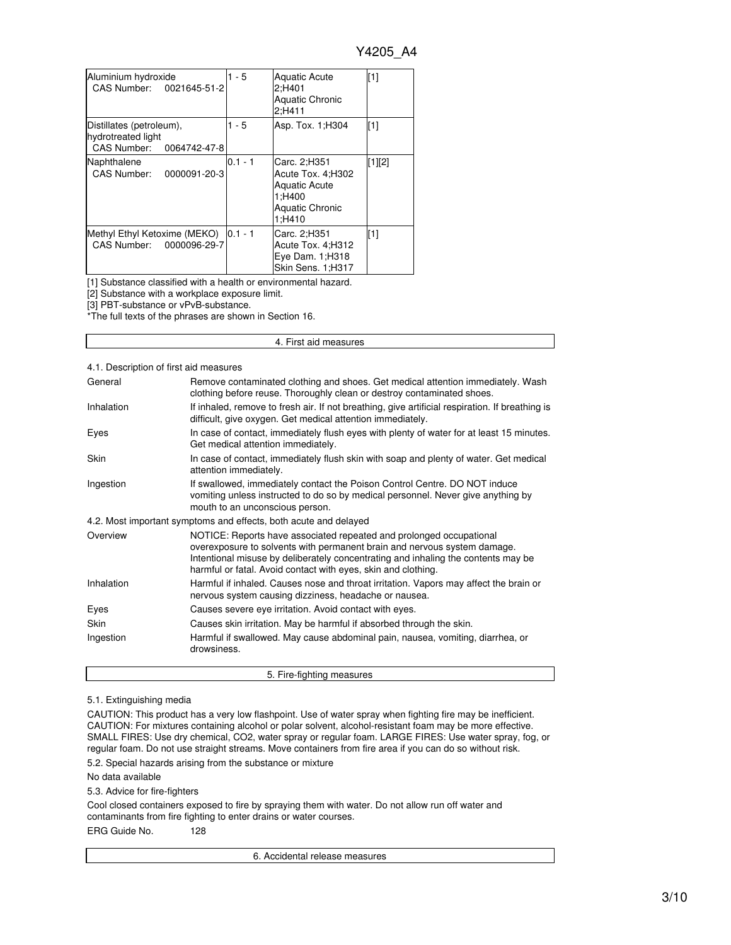| Aluminium hydroxide<br>CAS Number: 0021645-51-2                            | $1 - 5$   | <b>Aquatic Acute</b><br>2:H401<br><b>Aquatic Chronic</b><br>2:H411                                      | $\sqrt{11}$ |
|----------------------------------------------------------------------------|-----------|---------------------------------------------------------------------------------------------------------|-------------|
| Distillates (petroleum),<br>hydrotreated light<br>CAS Number: 0064742-47-8 | $1 - 5$   | Asp. Tox. 1; H304                                                                                       | $\sqrt{11}$ |
| Naphthalene<br>CAS Number: 0000091-20-3                                    | $0.1 - 1$ | Carc. 2:H351<br>Acute Tox. 4;H302<br><b>Aquatic Acute</b><br>1;H400<br><b>Aquatic Chronic</b><br>1:H410 | $[1][2]$    |
| Methyl Ethyl Ketoxime (MEKO) 0.1 - 1<br>CAS Number: 0000096-29-7           |           | Carc. 2:H351<br>Acute Tox. 4; H312<br>Eye Dam. 1; H318<br>Skin Sens. 1;H317                             | $[1]$       |

[1] Substance classified with a health or environmental hazard.

[2] Substance with a workplace exposure limit.

[3] PBT-substance or vPvB-substance.

\*The full texts of the phrases are shown in Section 16.

#### 4. First aid measures

### 4.1. Description of first aid measures

| General     | Remove contaminated clothing and shoes. Get medical attention immediately. Wash<br>clothing before reuse. Thoroughly clean or destroy contaminated shoes.                                                                                                                                             |
|-------------|-------------------------------------------------------------------------------------------------------------------------------------------------------------------------------------------------------------------------------------------------------------------------------------------------------|
| Inhalation  | If inhaled, remove to fresh air. If not breathing, give artificial respiration. If breathing is<br>difficult, give oxygen. Get medical attention immediately.                                                                                                                                         |
| Eyes        | In case of contact, immediately flush eyes with plenty of water for at least 15 minutes.<br>Get medical attention immediately.                                                                                                                                                                        |
| <b>Skin</b> | In case of contact, immediately flush skin with soap and plenty of water. Get medical<br>attention immediately.                                                                                                                                                                                       |
| Ingestion   | If swallowed, immediately contact the Poison Control Centre. DO NOT induce<br>vomiting unless instructed to do so by medical personnel. Never give anything by<br>mouth to an unconscious person.                                                                                                     |
|             | 4.2. Most important symptoms and effects, both acute and delayed                                                                                                                                                                                                                                      |
| Overview    | NOTICE: Reports have associated repeated and prolonged occupational<br>overexposure to solvents with permanent brain and nervous system damage.<br>Intentional misuse by deliberately concentrating and inhaling the contents may be<br>harmful or fatal. Avoid contact with eyes, skin and clothing. |
| Inhalation  | Harmful if inhaled. Causes nose and throat irritation. Vapors may affect the brain or<br>nervous system causing dizziness, headache or nausea.                                                                                                                                                        |
| Eyes        | Causes severe eye irritation. Avoid contact with eyes.                                                                                                                                                                                                                                                |
| <b>Skin</b> | Causes skin irritation. May be harmful if absorbed through the skin.                                                                                                                                                                                                                                  |
| Ingestion   | Harmful if swallowed. May cause abdominal pain, nausea, vomiting, diarrhea, or<br>drowsiness.                                                                                                                                                                                                         |

#### 5.1. Extinguishing media

CAUTION: This product has a very low flashpoint. Use of water spray when fighting fire may be inefficient. CAUTION: For mixtures containing alcohol or polar solvent, alcohol-resistant foam may be more effective. SMALL FIRES: Use dry chemical, CO2, water spray or regular foam. LARGE FIRES: Use water spray, fog, or regular foam. Do not use straight streams. Move containers from fire area if you can do so without risk.

5. Fire-fighting measures

5.2. Special hazards arising from the substance or mixture

#### No data available

5.3. Advice for fire-fighters

Cool closed containers exposed to fire by spraying them with water. Do not allow run off water and contaminants from fire fighting to enter drains or water courses.

ERG Guide No. 128

6. Accidental release measures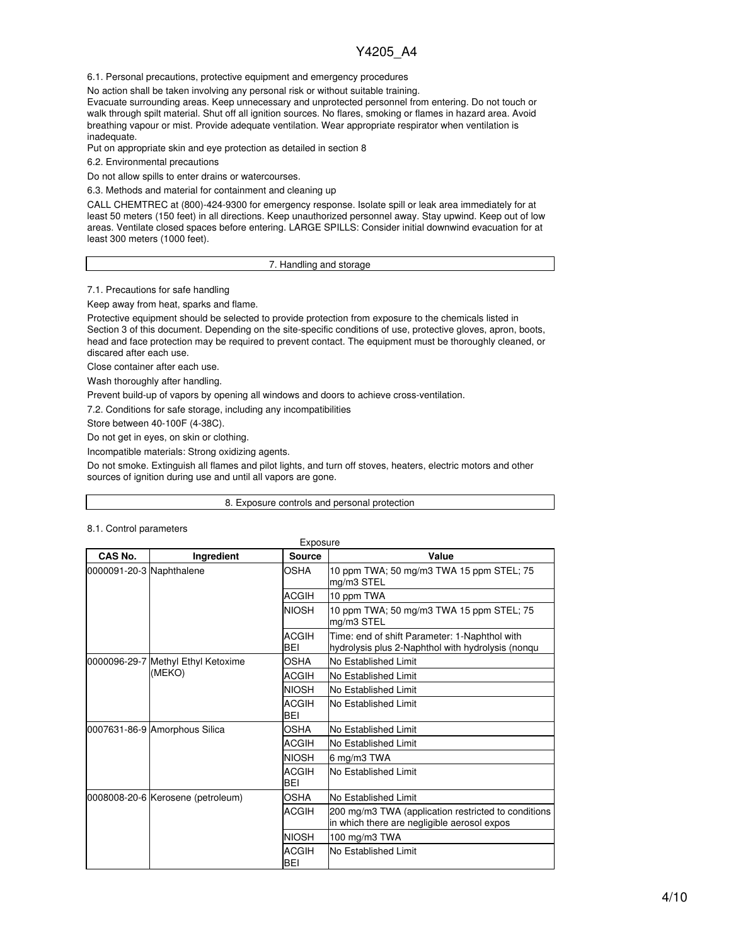6.1. Personal precautions, protective equipment and emergency procedures

No action shall be taken involving any personal risk or without suitable training.

Evacuate surrounding areas. Keep unnecessary and unprotected personnel from entering. Do not touch or walk through spilt material. Shut off all ignition sources. No flares, smoking or flames in hazard area. Avoid breathing vapour or mist. Provide adequate ventilation. Wear appropriate respirator when ventilation is inadequate.

Put on appropriate skin and eye protection as detailed in section 8

6.2. Environmental precautions

Do not allow spills to enter drains or watercourses.

6.3. Methods and material for containment and cleaning up

CALL CHEMTREC at (800)-424-9300 for emergency response. Isolate spill or leak area immediately for at least 50 meters (150 feet) in all directions. Keep unauthorized personnel away. Stay upwind. Keep out of low areas. Ventilate closed spaces before entering. LARGE SPILLS: Consider initial downwind evacuation for at least 300 meters (1000 feet).

#### 7. Handling and storage

7.1. Precautions for safe handling

Keep away from heat, sparks and flame.

Protective equipment should be selected to provide protection from exposure to the chemicals listed in Section 3 of this document. Depending on the site-specific conditions of use, protective gloves, apron, boots, head and face protection may be required to prevent contact. The equipment must be thoroughly cleaned, or discared after each use.

Close container after each use.

Wash thoroughly after handling.

Prevent build-up of vapors by opening all windows and doors to achieve cross-ventilation.

7.2. Conditions for safe storage, including any incompatibilities

Store between 40-100F (4-38C).

Do not get in eyes, on skin or clothing.

Incompatible materials: Strong oxidizing agents.

Do not smoke. Extinguish all flames and pilot lights, and turn off stoves, heaters, electric motors and other sources of ignition during use and until all vapors are gone.

#### 8. Exposure controls and personal protection

#### 8.1. Control parameters

| CAS No.                  | Ingredient                         | <b>Source</b>              | Value                                                                                              |
|--------------------------|------------------------------------|----------------------------|----------------------------------------------------------------------------------------------------|
| 0000091-20-3 Naphthalene |                                    | OSHA                       | 10 ppm TWA; 50 mg/m3 TWA 15 ppm STEL; 75<br>mg/m3 STEL                                             |
|                          |                                    | <b>ACGIH</b>               | 10 ppm TWA                                                                                         |
|                          |                                    | <b>NIOSH</b>               | 10 ppm TWA; 50 mg/m3 TWA 15 ppm STEL; 75<br>mg/m3 STEL                                             |
|                          |                                    | <b>ACGIH</b><br>BEI        | Time: end of shift Parameter: 1-Naphthol with<br>hydrolysis plus 2-Naphthol with hydrolysis (nongu |
|                          | 0000096-29-7 Methyl Ethyl Ketoxime | OSHA                       | No Established Limit                                                                               |
|                          | (MEKO)                             | <b>ACGIH</b>               | No Established Limit                                                                               |
|                          |                                    | <b>NIOSH</b>               | No Established Limit                                                                               |
|                          |                                    | <b>ACGIH</b><br><b>BEI</b> | No Established Limit                                                                               |
|                          | 0007631-86-9 Amorphous Silica      | <b>OSHA</b>                | No Established Limit                                                                               |
|                          |                                    | <b>ACGIH</b>               | No Established Limit                                                                               |
|                          |                                    | <b>NIOSH</b>               | 6 mg/m3 TWA                                                                                        |
|                          |                                    | <b>ACGIH</b><br><b>BEI</b> | No Established Limit                                                                               |
|                          | 0008008-20-6 Kerosene (petroleum)  | <b>OSHA</b>                | No Established Limit                                                                               |
|                          |                                    | <b>ACGIH</b>               | 200 mg/m3 TWA (application restricted to conditions<br>in which there are negligible aerosol expos |
|                          |                                    | <b>NIOSH</b>               | 100 mg/m3 TWA                                                                                      |
|                          |                                    | <b>ACGIH</b><br>BEI        | No Established Limit                                                                               |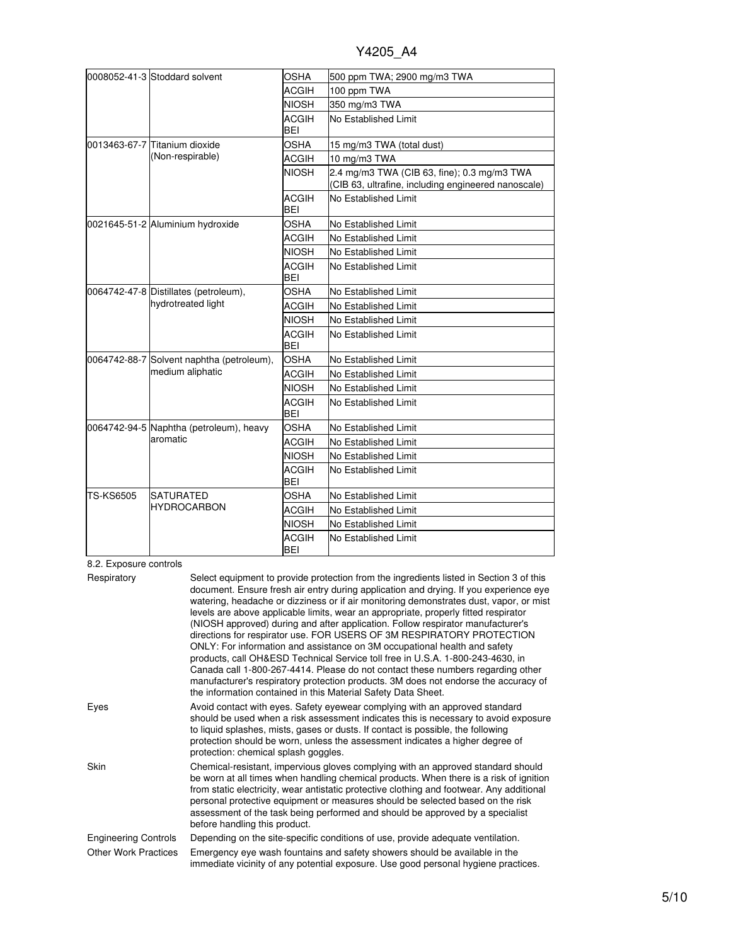|           | 0008052-41-3 Stoddard solvent             | <b>OSHA</b>                | 500 ppm TWA; 2900 mg/m3 TWA                                                                        |
|-----------|-------------------------------------------|----------------------------|----------------------------------------------------------------------------------------------------|
|           |                                           | <b>ACGIH</b>               |                                                                                                    |
|           |                                           |                            | 100 ppm TWA                                                                                        |
|           |                                           | <b>NIOSH</b>               | 350 mg/m3 TWA                                                                                      |
|           |                                           | <b>ACGIH</b><br><b>BEI</b> | No Established Limit                                                                               |
|           | 0013463-67-7 Titanium dioxide             | <b>OSHA</b>                | 15 mg/m3 TWA (total dust)                                                                          |
|           | (Non-respirable)                          | <b>ACGIH</b>               | 10 mg/m3 TWA                                                                                       |
|           |                                           | <b>NIOSH</b>               | 2.4 mg/m3 TWA (CIB 63, fine); 0.3 mg/m3 TWA<br>(CIB 63, ultrafine, including engineered nanoscale) |
|           |                                           | <b>ACGIH</b><br><b>BEI</b> | No Established Limit                                                                               |
|           | 0021645-51-2 Aluminium hydroxide          | <b>OSHA</b>                | No Established Limit                                                                               |
|           |                                           | <b>ACGIH</b>               | No Established Limit                                                                               |
|           |                                           | <b>NIOSH</b>               | No Established Limit                                                                               |
|           |                                           | <b>ACGIH</b><br>BEI        | No Established Limit                                                                               |
|           | 0064742-47-8 Distillates (petroleum),     | <b>OSHA</b>                | No Established Limit                                                                               |
|           | hydrotreated light                        | <b>ACGIH</b>               | No Established Limit                                                                               |
|           |                                           | <b>NIOSH</b>               | No Established Limit                                                                               |
|           |                                           | <b>ACGIH</b><br><b>BEI</b> | No Established Limit                                                                               |
|           | 0064742-88-7 Solvent naphtha (petroleum), | <b>OSHA</b>                | No Established Limit                                                                               |
|           | medium aliphatic                          | ACGIH                      | No Established Limit                                                                               |
|           |                                           | <b>NIOSH</b>               | No Established Limit                                                                               |
|           |                                           | <b>ACGIH</b><br><b>BEI</b> | No Established Limit                                                                               |
|           | 0064742-94-5 Naphtha (petroleum), heavy   | OSHA                       | No Established Limit                                                                               |
|           | aromatic                                  | <b>ACGIH</b>               | No Established Limit                                                                               |
|           |                                           | <b>NIOSH</b>               | No Established Limit                                                                               |
|           |                                           | <b>ACGIH</b><br><b>BEI</b> | No Established Limit                                                                               |
| TS-KS6505 | <b>SATURATED</b>                          | <b>OSHA</b>                | No Established Limit                                                                               |
|           | <b>IHYDROCARBON</b>                       | <b>ACGIH</b>               | No Established Limit                                                                               |
|           |                                           | <b>NIOSH</b>               | No Established Limit                                                                               |
|           |                                           | <b>ACGIH</b><br><b>BEI</b> | No Established Limit                                                                               |

## 8.2. Exposure controls

| Respiratory                 | Select equipment to provide protection from the ingredients listed in Section 3 of this<br>document. Ensure fresh air entry during application and drying. If you experience eye<br>watering, headache or dizziness or if air monitoring demonstrates dust, vapor, or mist<br>levels are above applicable limits, wear an appropriate, properly fitted respirator<br>(NIOSH approved) during and after application. Follow respirator manufacturer's<br>directions for respirator use. FOR USERS OF 3M RESPIRATORY PROTECTION<br>ONLY: For information and assistance on 3M occupational health and safety<br>products, call OH&ESD Technical Service toll free in U.S.A. 1-800-243-4630, in<br>Canada call 1-800-267-4414. Please do not contact these numbers regarding other<br>manufacturer's respiratory protection products. 3M does not endorse the accuracy of<br>the information contained in this Material Safety Data Sheet. |
|-----------------------------|-----------------------------------------------------------------------------------------------------------------------------------------------------------------------------------------------------------------------------------------------------------------------------------------------------------------------------------------------------------------------------------------------------------------------------------------------------------------------------------------------------------------------------------------------------------------------------------------------------------------------------------------------------------------------------------------------------------------------------------------------------------------------------------------------------------------------------------------------------------------------------------------------------------------------------------------|
| Eyes                        | Avoid contact with eyes. Safety eyewear complying with an approved standard<br>should be used when a risk assessment indicates this is necessary to avoid exposure<br>to liquid splashes, mists, gases or dusts. If contact is possible, the following<br>protection should be worn, unless the assessment indicates a higher degree of<br>protection: chemical splash goggles.                                                                                                                                                                                                                                                                                                                                                                                                                                                                                                                                                         |
| <b>Skin</b>                 | Chemical-resistant, impervious gloves complying with an approved standard should<br>be worn at all times when handling chemical products. When there is a risk of ignition<br>from static electricity, wear antistatic protective clothing and footwear. Any additional<br>personal protective equipment or measures should be selected based on the risk<br>assessment of the task being performed and should be approved by a specialist<br>before handling this product.                                                                                                                                                                                                                                                                                                                                                                                                                                                             |
| <b>Engineering Controls</b> | Depending on the site-specific conditions of use, provide adequate ventilation.                                                                                                                                                                                                                                                                                                                                                                                                                                                                                                                                                                                                                                                                                                                                                                                                                                                         |
| <b>Other Work Practices</b> | Emergency eye wash fountains and safety showers should be available in the<br>immediate vicinity of any potential exposure. Use good personal hygiene practices.                                                                                                                                                                                                                                                                                                                                                                                                                                                                                                                                                                                                                                                                                                                                                                        |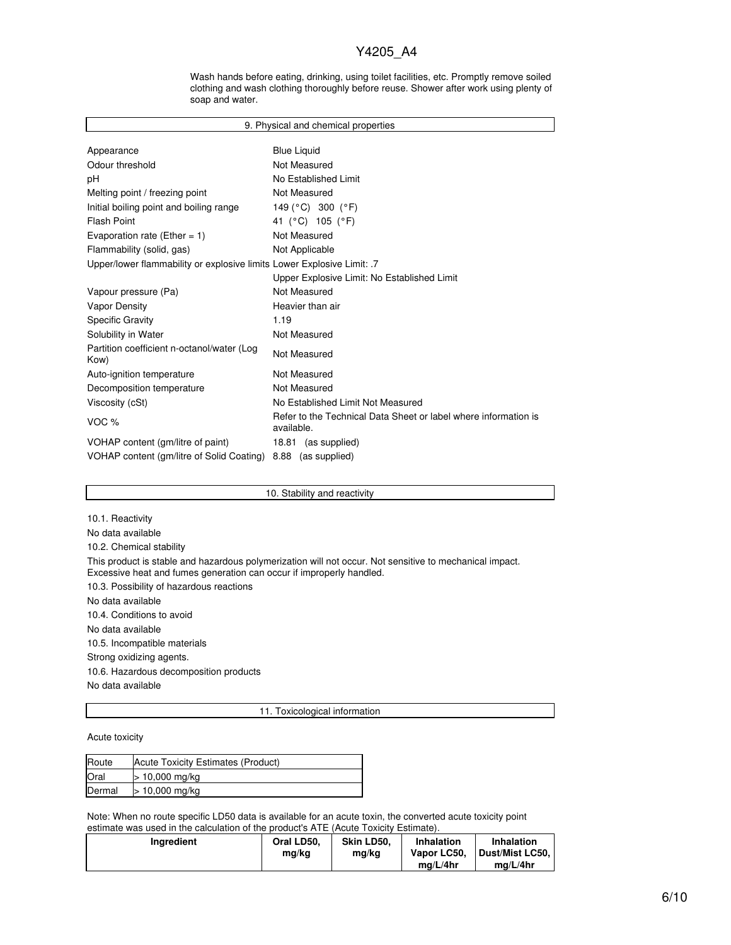Wash hands before eating, drinking, using toilet facilities, etc. Promptly remove soiled clothing and wash clothing thoroughly before reuse. Shower after work using plenty of soap and water.

| 9. Physical and chemical properties                                    |                                                                               |  |  |  |  |
|------------------------------------------------------------------------|-------------------------------------------------------------------------------|--|--|--|--|
|                                                                        |                                                                               |  |  |  |  |
| Appearance                                                             | <b>Blue Liquid</b>                                                            |  |  |  |  |
| Odour threshold                                                        | Not Measured                                                                  |  |  |  |  |
| рH                                                                     | No Established Limit                                                          |  |  |  |  |
| Melting point / freezing point                                         | Not Measured                                                                  |  |  |  |  |
| Initial boiling point and boiling range                                | 149 ( $^{\circ}$ C) 300 ( $^{\circ}$ F)                                       |  |  |  |  |
| <b>Flash Point</b>                                                     | 41 (°C) 105 (°F)                                                              |  |  |  |  |
| Evaporation rate (Ether = 1)                                           | Not Measured                                                                  |  |  |  |  |
| Flammability (solid, gas)                                              | Not Applicable                                                                |  |  |  |  |
| Upper/lower flammability or explosive limits Lower Explosive Limit: .7 |                                                                               |  |  |  |  |
|                                                                        | Upper Explosive Limit: No Established Limit                                   |  |  |  |  |
| Vapour pressure (Pa)                                                   | Not Measured                                                                  |  |  |  |  |
| <b>Vapor Density</b>                                                   | Heavier than air                                                              |  |  |  |  |
| <b>Specific Gravity</b>                                                | 1.19                                                                          |  |  |  |  |
| Solubility in Water                                                    | Not Measured                                                                  |  |  |  |  |
| Partition coefficient n-octanol/water (Log<br>Kow)                     | Not Measured                                                                  |  |  |  |  |
| Auto-ignition temperature                                              | Not Measured                                                                  |  |  |  |  |
| Decomposition temperature                                              | Not Measured                                                                  |  |  |  |  |
| Viscosity (cSt)                                                        | No Established Limit Not Measured                                             |  |  |  |  |
| VOC %                                                                  | Refer to the Technical Data Sheet or label where information is<br>available. |  |  |  |  |
| VOHAP content (gm/litre of paint)                                      | 18.81 (as supplied)                                                           |  |  |  |  |
| VOHAP content (gm/litre of Solid Coating)                              | 8.88 (as supplied)                                                            |  |  |  |  |

10. Stability and reactivity

10.1. Reactivity No data available 10.2. Chemical stability This product is stable and hazardous polymerization will not occur. Not sensitive to mechanical impact. Excessive heat and fumes generation can occur if improperly handled. 10.3. Possibility of hazardous reactions No data available 10.4. Conditions to avoid No data available

10.5. Incompatible materials

Strong oxidizing agents.

10.6. Hazardous decomposition products

No data available

11. Toxicological information

Acute toxicity

| Route  | Acute Toxicity Estimates (Product) |
|--------|------------------------------------|
| Oral   | $> 10,000$ mg/kg                   |
| Dermal | > 10,000 mg/kg                     |

Note: When no route specific LD50 data is available for an acute toxin, the converted acute toxicity point estimate was used in the calculation of the product's ATE (Acute Toxicity Estimate).

| <b>Ingredient</b> | Oral LD50. | Skin LD50. | <b>Inhalation</b> | <b>Inhalation</b> |
|-------------------|------------|------------|-------------------|-------------------|
|                   | ma/ka      | mg/kg      | Vapor LC50.       | Dust/Mist LC50,   |
|                   |            |            | ma/L/4hr          | ma/L/4hr          |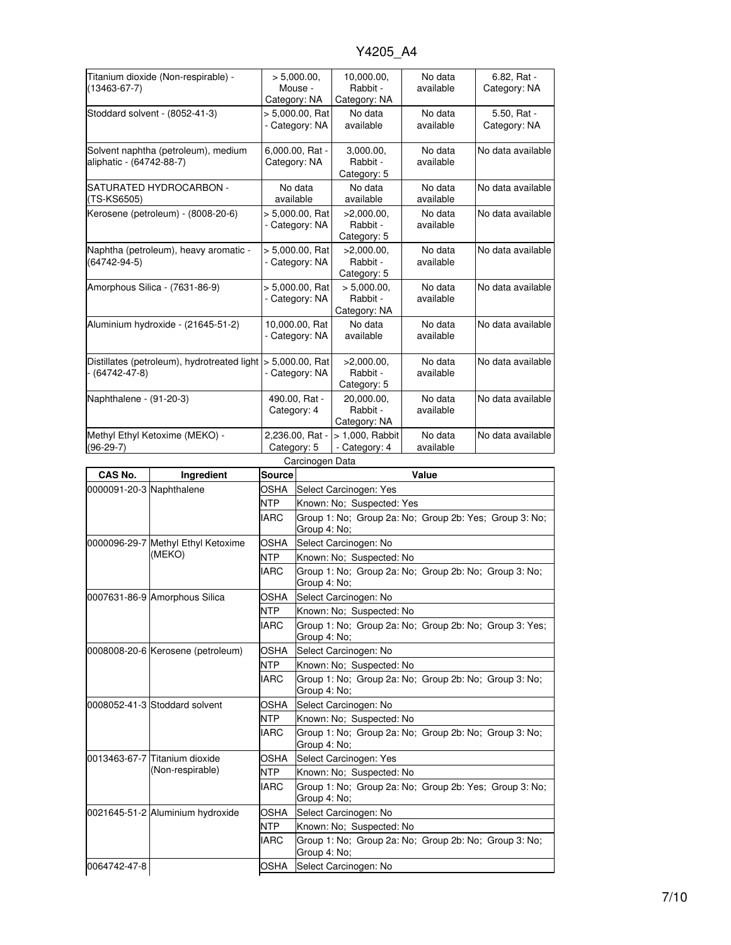| Titanium dioxide (Non-respirable) -<br>$(13463 - 67 - 7)$       |                                                               | > 5,000.00,<br>Mouse -<br>Category: NA |                                           | 10,000.00,<br>Rabbit -<br>Category: NA  | No data<br>available                                  | $6.82, Rat -$<br>Category: NA                          |  |
|-----------------------------------------------------------------|---------------------------------------------------------------|----------------------------------------|-------------------------------------------|-----------------------------------------|-------------------------------------------------------|--------------------------------------------------------|--|
| Stoddard solvent - (8052-41-3)                                  |                                                               | > 5,000.00, Rat<br>- Category: NA      |                                           | No data<br>available                    | No data<br>available                                  | 5.50, Rat -<br>Category: NA                            |  |
| Solvent naphtha (petroleum), medium<br>aliphatic - (64742-88-7) |                                                               | 6,000.00, Rat -<br>Category: NA        |                                           | 3,000.00,<br>Rabbit -<br>Category: 5    | No data<br>available                                  | No data available                                      |  |
| (TS-KS6505)                                                     | SATURATED HYDROCARBON -                                       |                                        | No data<br>available                      | No data<br>available                    | No data<br>available                                  | No data available                                      |  |
| Kerosene (petroleum) - (8008-20-6)                              |                                                               |                                        | > 5,000.00, Rat<br>- Category: NA         | >2,000.00,<br>Rabbit -<br>Category: 5   | No data<br>available                                  | No data available                                      |  |
| Naphtha (petroleum), heavy aromatic -<br>(64742-94-5)           |                                                               |                                        | > 5,000.00, Rat<br>- Category: NA         | >2,000.00,<br>Rabbit -<br>Category: 5   | No data<br>available                                  | No data available                                      |  |
|                                                                 | Amorphous Silica - (7631-86-9)                                |                                        | > 5,000.00, Rat<br>- Category: NA         | > 5,000.00,<br>Rabbit -<br>Category: NA | No data<br>available                                  | No data available                                      |  |
|                                                                 | Aluminium hydroxide - (21645-51-2)                            |                                        | 10,000.00, Rat<br>- Category: NA          | No data<br>available                    | No data<br>available                                  | No data available                                      |  |
|                                                                 | Distillates (petroleum), hydrotreated light<br>- (64742-47-8) |                                        | $> 5,000.00$ , Rat<br>- Category: NA      | >2,000.00,<br>Rabbit -<br>Category: 5   | No data<br>available                                  | No data available                                      |  |
|                                                                 | Naphthalene - (91-20-3)                                       |                                        | 490.00, Rat -<br>Category: 4              | 20,000.00,<br>Rabbit -<br>Category: NA  | No data<br>available                                  | No data available                                      |  |
|                                                                 | Methyl Ethyl Ketoxime (MEKO) -                                |                                        | 2,236.00, Rat -                           | > 1,000, Rabbit                         | No data                                               | No data available                                      |  |
| $(96-29-7)$                                                     |                                                               |                                        | - Category: 4<br>available<br>Category: 5 |                                         |                                                       |                                                        |  |
|                                                                 |                                                               |                                        | Carcinogen Data                           |                                         |                                                       |                                                        |  |
| CAS No.                                                         | Ingredient                                                    | <b>Source</b>                          |                                           |                                         | Value                                                 |                                                        |  |
|                                                                 | 0000091-20-3 Naphthalene                                      | OSHA                                   | Select Carcinogen: Yes                    |                                         |                                                       |                                                        |  |
|                                                                 |                                                               |                                        |                                           |                                         |                                                       |                                                        |  |
|                                                                 |                                                               | NTP<br><b>IARC</b>                     | Group 4: No:                              | Known: No; Suspected: Yes               |                                                       | Group 1: No; Group 2a: No; Group 2b: Yes; Group 3: No; |  |
|                                                                 | 0000096-29-7 Methyl Ethyl Ketoxime                            | OSHA                                   |                                           | Select Carcinogen: No                   |                                                       |                                                        |  |
|                                                                 | (MEKO)                                                        | <b>NTP</b>                             |                                           | Known: No; Suspected: No                |                                                       |                                                        |  |
|                                                                 |                                                               | IARC                                   | Group 4: No;                              |                                         | Group 1: No; Group 2a: No; Group 2b: No; Group 3: No; |                                                        |  |
|                                                                 | 0007631-86-9 Amorphous Silica                                 | OSHA                                   |                                           | Select Carcinogen: No                   |                                                       |                                                        |  |
|                                                                 |                                                               | NTP                                    |                                           | Known: No; Suspected: No                |                                                       |                                                        |  |
|                                                                 |                                                               | IARC                                   | Group 4: No;                              |                                         |                                                       | Group 1: No; Group 2a: No; Group 2b: No; Group 3: Yes; |  |
|                                                                 | 0008008-20-6 Kerosene (petroleum)                             | <b>OSHA</b>                            |                                           | Select Carcinogen: No                   |                                                       |                                                        |  |
|                                                                 |                                                               | <b>NTP</b><br>IARC                     |                                           | Known: No: Suspected: No                | Group 1: No; Group 2a: No; Group 2b: No; Group 3: No; |                                                        |  |
|                                                                 |                                                               |                                        | Group 4: No;                              |                                         |                                                       |                                                        |  |
|                                                                 | 0008052-41-3 Stoddard solvent                                 | OSHA                                   |                                           | Select Carcinogen: No                   |                                                       |                                                        |  |
|                                                                 |                                                               | NTP<br>IARC                            |                                           | Known: No; Suspected: No                | Group 1: No; Group 2a: No; Group 2b: No; Group 3: No; |                                                        |  |
|                                                                 | 0013463-67-7 Titanium dioxide                                 | OSHA                                   | Group 4: No;                              |                                         |                                                       |                                                        |  |
|                                                                 | (Non-respirable)                                              | NTP                                    |                                           | Select Carcinogen: Yes                  |                                                       |                                                        |  |
|                                                                 |                                                               | IARC                                   | Group 4: No;                              | Known: No; Suspected: No                |                                                       | Group 1: No; Group 2a: No; Group 2b: Yes; Group 3: No; |  |
|                                                                 | 0021645-51-2 Aluminium hydroxide                              | OSHA                                   |                                           | Select Carcinogen: No                   |                                                       |                                                        |  |
|                                                                 |                                                               | NTP.                                   |                                           | Known: No; Suspected: No                |                                                       |                                                        |  |
|                                                                 |                                                               | IARC                                   | Group 4: No;                              | Select Carcinogen: No                   | Group 1: No; Group 2a: No; Group 2b: No; Group 3: No; |                                                        |  |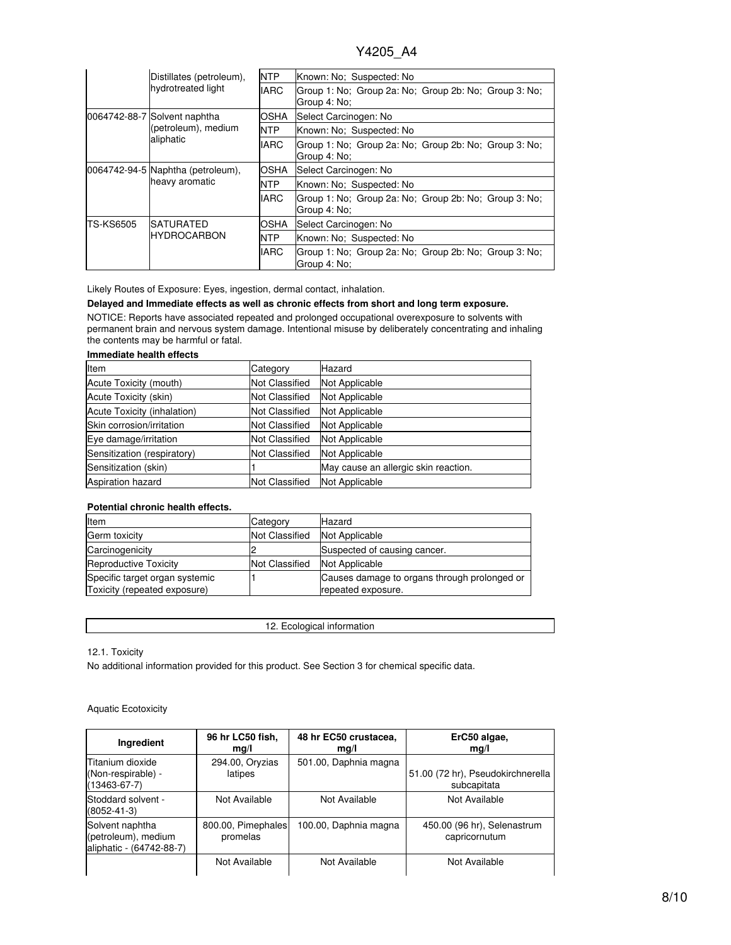|           | Distillates (petroleum),<br>hydrotreated light                   | <b>NTP</b>  | Known: No: Suspected: No                                              |  |
|-----------|------------------------------------------------------------------|-------------|-----------------------------------------------------------------------|--|
|           |                                                                  | <b>IARC</b> | Group 1: No; Group 2a: No; Group 2b: No; Group 3: No;<br>Group 4: No: |  |
|           | 0064742-88-7 Solvent naphtha<br>(petroleum), medium<br>aliphatic | OSHA        | Select Carcinogen: No                                                 |  |
|           |                                                                  | <b>NTP</b>  | Known: No; Suspected: No                                              |  |
|           |                                                                  | <b>IARC</b> | Group 1: No; Group 2a: No; Group 2b: No; Group 3: No;<br>Group 4: No: |  |
|           | 0064742-94-5 Naphtha (petroleum),<br>heavy aromatic              | OSHA        | Select Carcinogen: No                                                 |  |
|           |                                                                  | <b>NTP</b>  | Known: No; Suspected: No                                              |  |
|           |                                                                  | <b>IARC</b> | Group 1: No; Group 2a: No; Group 2b: No; Group 3: No;<br>Group 4: No: |  |
| TS-KS6505 | <b>SATURATED</b><br><b>HYDROCARBON</b>                           | OSHA        | Select Carcinogen: No                                                 |  |
|           |                                                                  | <b>NTP</b>  | Known: No: Suspected: No                                              |  |
|           |                                                                  | <b>IARC</b> | Group 1: No; Group 2a: No; Group 2b: No; Group 3: No;<br>Group 4: No: |  |

Likely Routes of Exposure: Eyes, ingestion, dermal contact, inhalation.

### **Delayed and Immediate effects as well as chronic effects from short and long term exposure.**

NOTICE: Reports have associated repeated and prolonged occupational overexposure to solvents with permanent brain and nervous system damage. Intentional misuse by deliberately concentrating and inhaling the contents may be harmful or fatal.

### **Immediate health effects**

| Item                        | Category              | Hazard                               |
|-----------------------------|-----------------------|--------------------------------------|
| Acute Toxicity (mouth)      | <b>Not Classified</b> | Not Applicable                       |
| Acute Toxicity (skin)       | <b>Not Classified</b> | Not Applicable                       |
| Acute Toxicity (inhalation) | Not Classified        | Not Applicable                       |
| Skin corrosion/irritation   | <b>Not Classified</b> | Not Applicable                       |
| Eye damage/irritation       | <b>Not Classified</b> | Not Applicable                       |
| Sensitization (respiratory) | <b>Not Classified</b> | Not Applicable                       |
| Sensitization (skin)        |                       | May cause an allergic skin reaction. |
| Aspiration hazard           | <b>Not Classified</b> | Not Applicable                       |

### **Potential chronic health effects.**

| Item                                                           | Category       | Hazard                                                             |
|----------------------------------------------------------------|----------------|--------------------------------------------------------------------|
| Germ toxicity                                                  | Not Classified | Not Applicable                                                     |
| Carcinogenicity                                                |                | Suspected of causing cancer.                                       |
| <b>Reproductive Toxicity</b>                                   | Not Classified | Not Applicable                                                     |
| Specific target organ systemic<br>Toxicity (repeated exposure) |                | Causes damage to organs through prolonged or<br>repeated exposure. |

| 11 U L<br>___________ |
|-----------------------|
|                       |

12.1. Toxicity

No additional information provided for this product. See Section 3 for chemical specific data.

### Aquatic Ecotoxicity

| Ingredient                                                          | 96 hr LC50 fish,<br>mg/l       | 48 hr EC50 crustacea,<br>mg/l | ErC50 algae,<br>mq/l                             |
|---------------------------------------------------------------------|--------------------------------|-------------------------------|--------------------------------------------------|
| <b>Titanium dioxide</b><br>(Non-respirable) -<br>$(13463 - 67 - 7)$ | 294.00, Oryzias<br>latipes     | 501.00, Daphnia magna         | 51.00 (72 hr), Pseudokirchnerella<br>subcapitata |
| Stoddard solvent -<br>(8052-41-3)                                   | Not Available                  | Not Available                 | Not Available                                    |
| Solvent naphtha<br>(petroleum), medium<br>aliphatic - (64742-88-7)  | 800.00, Pimephales<br>promelas | 100.00, Daphnia magna         | 450.00 (96 hr), Selenastrum<br>capricornutum     |
|                                                                     | Not Available                  | Not Available                 | Not Available                                    |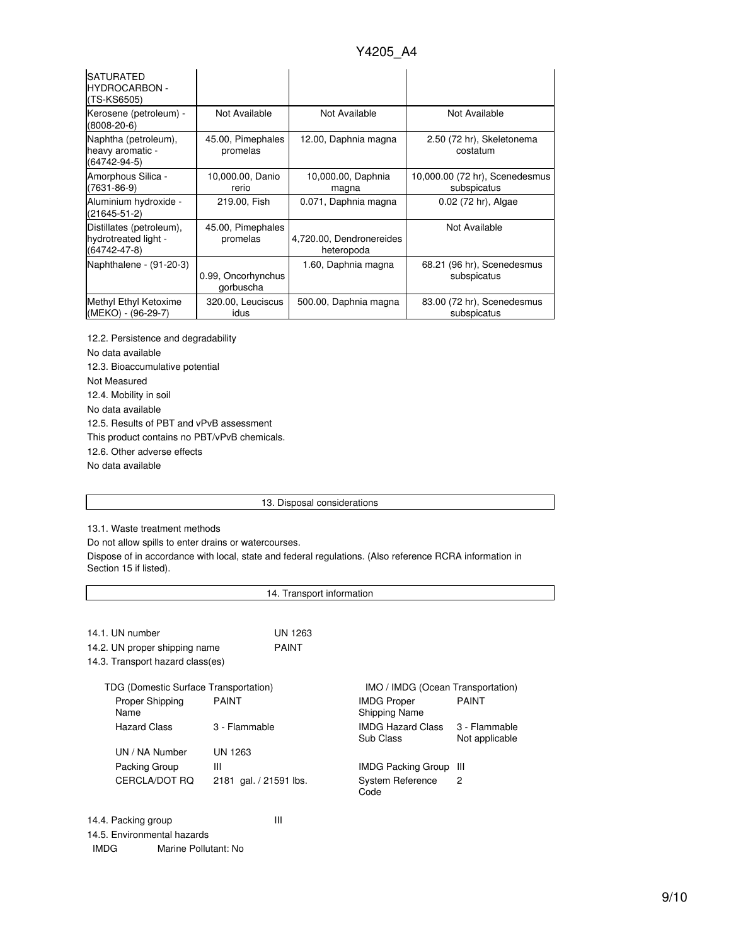| <b>SATURATED</b><br><b>HYDROCARBON -</b><br>(TS-KS6505)                |                                 |                                        |                                               |
|------------------------------------------------------------------------|---------------------------------|----------------------------------------|-----------------------------------------------|
| Kerosene (petroleum) -<br>$(8008 - 20 - 6)$                            | Not Available                   | Not Available                          | Not Available                                 |
| Naphtha (petroleum),<br>heavy aromatic -<br>(64742-94-5)               | 45.00, Pimephales<br>promelas   | 12.00, Daphnia magna                   | 2.50 (72 hr), Skeletonema<br>costatum         |
| Amorphous Silica -<br>$(7631 - 86 - 9)$                                | 10,000.00, Danio<br>rerio       | 10,000.00, Daphnia<br>magna            | 10,000.00 (72 hr), Scenedesmus<br>subspicatus |
| Aluminium hydroxide -<br>$(21645 - 51 - 2)$                            | 219.00, Fish                    | 0.071, Daphnia magna                   | 0.02 (72 hr), Algae                           |
| Distillates (petroleum),<br>hydrotreated light -<br>$(64742 - 47 - 8)$ | 45.00, Pimephales<br>promelas   | 4,720.00, Dendronereides<br>heteropoda | Not Available                                 |
| Naphthalene - (91-20-3)                                                | 0.99, Oncorhynchus<br>gorbuscha | 1.60, Daphnia magna                    | 68.21 (96 hr), Scenedesmus<br>subspicatus     |
| Methyl Ethyl Ketoxime<br>(MEKO) - (96-29-7)                            | 320.00, Leuciscus<br>idus       | 500.00, Daphnia magna                  | 83.00 (72 hr), Scenedesmus<br>subspicatus     |

12.2. Persistence and degradability No data available 12.3. Bioaccumulative potential Not Measured 12.4. Mobility in soil No data available 12.5. Results of PBT and vPvB assessment This product contains no PBT/vPvB chemicals. 12.6. Other adverse effects No data available

#### 13. Disposal considerations

13.1. Waste treatment methods

Do not allow spills to enter drains or watercourses.

Dispose of in accordance with local, state and federal regulations. (Also reference RCRA information in Section 15 if listed).

| 14. Transport information             |                        |                                            |                                   |  |  |
|---------------------------------------|------------------------|--------------------------------------------|-----------------------------------|--|--|
|                                       |                        |                                            |                                   |  |  |
| 14.1. UN number                       | UN 1263                |                                            |                                   |  |  |
| 14.2. UN proper shipping name         | <b>PAINT</b>           |                                            |                                   |  |  |
| 14.3. Transport hazard class(es)      |                        |                                            |                                   |  |  |
| TDG (Domestic Surface Transportation) |                        |                                            | IMO / IMDG (Ocean Transportation) |  |  |
| Proper Shipping<br>Name               | <b>PAINT</b>           | <b>IMDG Proper</b><br><b>Shipping Name</b> | <b>PAINT</b>                      |  |  |
| Hazard Class                          | 3 - Flammable          | IMDG Hazard Class<br>Sub Class             | 3 - Flammable<br>Not applicable   |  |  |
| UN / NA Number                        | UN 1263                |                                            |                                   |  |  |
| Packing Group                         | Ш                      | <b>IMDG Packing Group</b>                  | -III                              |  |  |
| CERCLA/DOT RO                         | 2181 gal. / 21591 lbs. | System Reference<br>Code                   | 2                                 |  |  |
| 14.4. Packing group                   | Ш                      |                                            |                                   |  |  |

14.5. Environmental hazards

IMDG Marine Pollutant: No